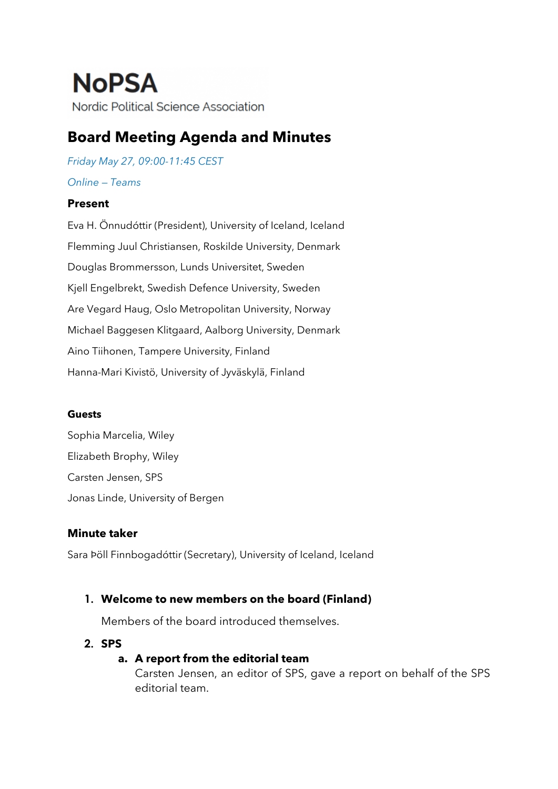# **NoPSA** Nordic Political Science Association

# **Board Meeting Agenda and Minutes**

*Friday May 27, 09:00-11:45 CEST* 

## *Online — Teams*

# **Present**

Eva H. Önnudóttir (President), University of Iceland, Iceland Flemming Juul Christiansen, Roskilde University, Denmark Douglas Brommersson, Lunds Universitet, Sweden Kjell Engelbrekt, Swedish Defence University, Sweden Are Vegard Haug, Oslo Metropolitan University, Norway Michael Baggesen Klitgaard, Aalborg University, Denmark Aino Tiihonen, Tampere University, Finland Hanna-Mari Kivistö, University of Jyväskylä, Finland

#### **Guests**

Sophia Marcelia, Wiley Elizabeth Brophy, Wiley Carsten Jensen, SPS Jonas Linde, University of Bergen

# **Minute taker**

Sara Þöll Finnbogadóttir (Secretary), University of Iceland, Iceland

# **1. Welcome to new members on the board (Finland)**

Members of the board introduced themselves.

# **2. SPS**

# **a. A report from the editorial team**

Carsten Jensen, an editor of SPS, gave a report on behalf of the SPS editorial team.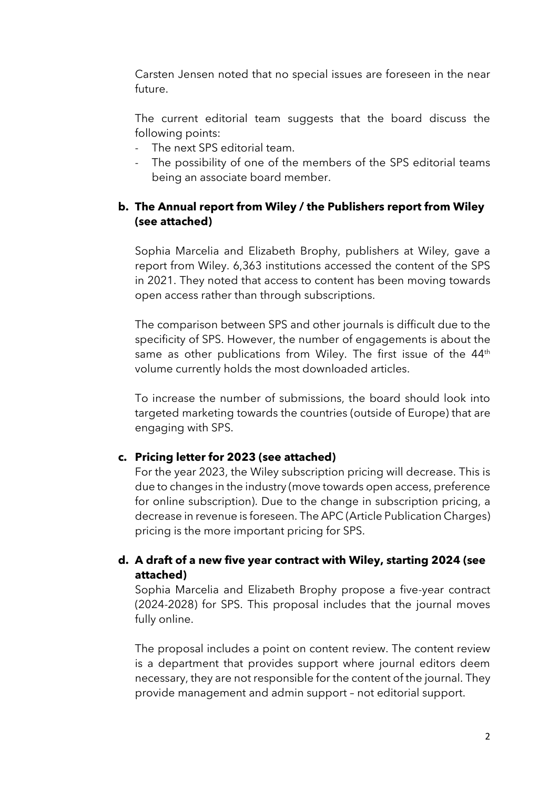Carsten Jensen noted that no special issues are foreseen in the near future.

The current editorial team suggests that the board discuss the following points:

- The next SPS editorial team.
- The possibility of one of the members of the SPS editorial teams being an associate board member.

### **b. The Annual report from Wiley / the Publishers report from Wiley (see attached)**

Sophia Marcelia and Elizabeth Brophy, publishers at Wiley, gave a report from Wiley. 6,363 institutions accessed the content of the SPS in 2021. They noted that access to content has been moving towards open access rather than through subscriptions.

The comparison between SPS and other journals is difficult due to the specificity of SPS. However, the number of engagements is about the same as other publications from Wiley. The first issue of the 44<sup>th</sup> volume currently holds the most downloaded articles.

To increase the number of submissions, the board should look into targeted marketing towards the countries (outside of Europe) that are engaging with SPS.

#### **c. Pricing letter for 2023 (see attached)**

For the year 2023, the Wiley subscription pricing will decrease. This is due to changes in the industry (move towards open access, preference for online subscription). Due to the change in subscription pricing, a decrease in revenue is foreseen. The APC (Article Publication Charges) pricing is the more important pricing for SPS.

### **d. A draft of a new five year contract with Wiley, starting 2024 (see attached)**

Sophia Marcelia and Elizabeth Brophy propose a five-year contract (2024-2028) for SPS. This proposal includes that the journal moves fully online.

The proposal includes a point on content review. The content review is a department that provides support where journal editors deem necessary, they are not responsible for the content of the journal. They provide management and admin support – not editorial support.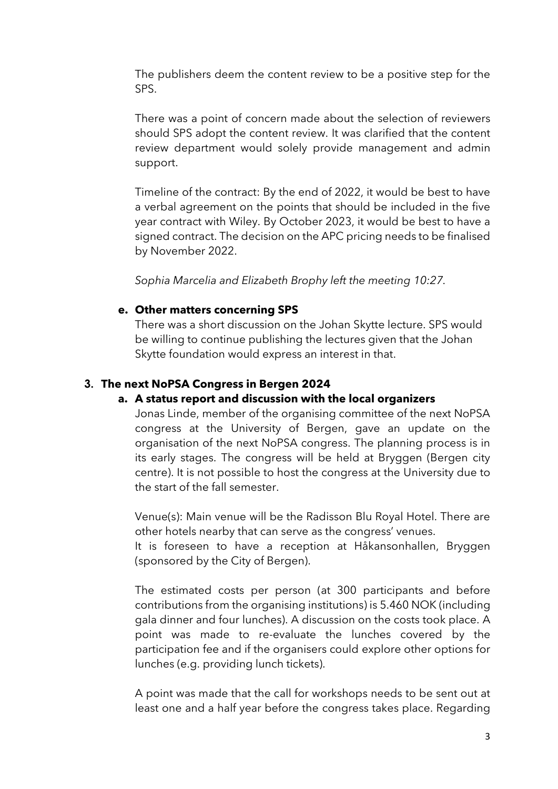The publishers deem the content review to be a positive step for the SPS.

There was a point of concern made about the selection of reviewers should SPS adopt the content review. It was clarified that the content review department would solely provide management and admin support.

Timeline of the contract: By the end of 2022, it would be best to have a verbal agreement on the points that should be included in the five year contract with Wiley. By October 2023, it would be best to have a signed contract. The decision on the APC pricing needs to be finalised by November 2022.

*Sophia Marcelia and Elizabeth Brophy left the meeting 10:27.*

#### **e. Other matters concerning SPS**

There was a short discussion on the Johan Skytte lecture. SPS would be willing to continue publishing the lectures given that the Johan Skytte foundation would express an interest in that.

#### **3. The next NoPSA Congress in Bergen 2024**

#### **a. A status report and discussion with the local organizers**

Jonas Linde, member of the organising committee of the next NoPSA congress at the University of Bergen, gave an update on the organisation of the next NoPSA congress. The planning process is in its early stages. The congress will be held at Bryggen (Bergen city centre). It is not possible to host the congress at the University due to the start of the fall semester.

Venue(s): Main venue will be the Radisson Blu Royal Hotel. There are other hotels nearby that can serve as the congress' venues.

It is foreseen to have a reception at Håkansonhallen, Bryggen (sponsored by the City of Bergen).

The estimated costs per person (at 300 participants and before contributions from the organising institutions) is 5.460 NOK (including gala dinner and four lunches). A discussion on the costs took place. A point was made to re-evaluate the lunches covered by the participation fee and if the organisers could explore other options for lunches (e.g. providing lunch tickets).

A point was made that the call for workshops needs to be sent out at least one and a half year before the congress takes place. Regarding